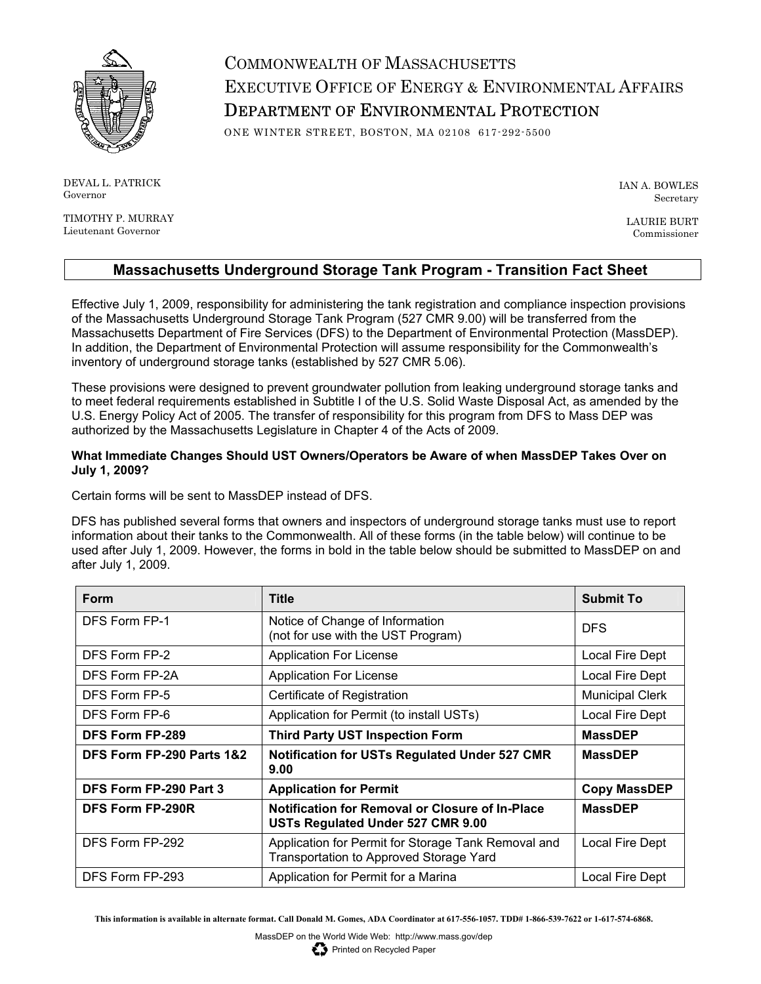

DEVAL L. PATRICK Governor

TIMOTHY P. MURRAY Lieutenant Governor

COMMONWEALTH OF MASSACHUSETTS EXECUTIVE OFFICE OF ENERGY & ENVIRONMENTAL AFFAIRS DEPARTMENT OF ENVIRONMENTAL PROTECTION

ONE WINTER STREET, BOSTON, MA 02108 617-292-5500

IAN A. BOWLES Secretary

LAURIE BURT Commissioner

## **Massachusetts Underground Storage Tank Program - Transition Fact Sheet**

Effective July 1, 2009, responsibility for administering the tank registration and compliance inspection provisions of the Massachusetts Underground Storage Tank Program (527 CMR 9.00) will be transferred from the Massachusetts Department of Fire Services (DFS) to the Department of Environmental Protection (MassDEP). In addition, the Department of Environmental Protection will assume responsibility for the Commonwealth's inventory of underground storage tanks (established by 527 CMR 5.06).

These provisions were designed to prevent groundwater pollution from leaking underground storage tanks and to meet federal requirements established in Subtitle I of the U.S. Solid Waste Disposal Act, as amended by the U.S. Energy Policy Act of 2005. The transfer of responsibility for this program from DFS to Mass DEP was authorized by the Massachusetts Legislature in Chapter 4 of the Acts of 2009.

## **What Immediate Changes Should UST Owners/Operators be Aware of when MassDEP Takes Over on July 1, 2009?**

Certain forms will be sent to MassDEP instead of DFS.

DFS has published several forms that owners and inspectors of underground storage tanks must use to report information about their tanks to the Commonwealth. All of these forms (in the table below) will continue to be used after July 1, 2009. However, the forms in bold in the table below should be submitted to MassDEP on and after July 1, 2009.

| Form                      | <b>Title</b>                                                                                   | <b>Submit To</b>       |
|---------------------------|------------------------------------------------------------------------------------------------|------------------------|
| DFS Form FP-1             | Notice of Change of Information<br>(not for use with the UST Program)                          | <b>DFS</b>             |
| DFS Form FP-2             | Application For License                                                                        | Local Fire Dept        |
| DFS Form FP-2A            | <b>Application For License</b>                                                                 | Local Fire Dept        |
| DFS Form FP-5             | Certificate of Registration                                                                    | <b>Municipal Clerk</b> |
| DFS Form FP-6             | Application for Permit (to install USTs)                                                       | Local Fire Dept        |
| <b>DFS Form FP-289</b>    | <b>Third Party UST Inspection Form</b>                                                         | <b>MassDEP</b>         |
| DFS Form FP-290 Parts 1&2 | <b>Notification for USTs Regulated Under 527 CMR</b><br>9.00                                   | <b>MassDEP</b>         |
| DFS Form FP-290 Part 3    | <b>Application for Permit</b>                                                                  | <b>Copy MassDEP</b>    |
| <b>DFS Form FP-290R</b>   | Notification for Removal or Closure of In-Place<br>USTs Regulated Under 527 CMR 9.00           | <b>MassDEP</b>         |
| DFS Form FP-292           | Application for Permit for Storage Tank Removal and<br>Transportation to Approved Storage Yard | Local Fire Dept        |
| DFS Form FP-293           | Application for Permit for a Marina                                                            | Local Fire Dept        |

**This information is available in alternate format. Call Donald M. Gomes, ADA Coordinator at 617-556-1057. TDD# 1-866-539-7622 or 1-617-574-6868.** 

Printed on Recycled Paper